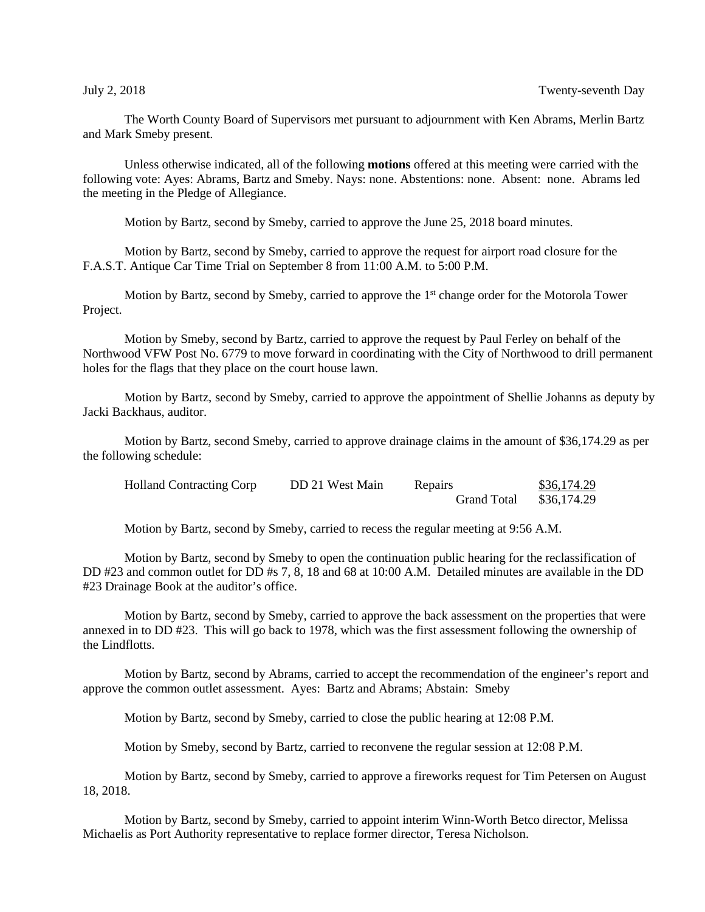The Worth County Board of Supervisors met pursuant to adjournment with Ken Abrams, Merlin Bartz and Mark Smeby present.

Unless otherwise indicated, all of the following **motions** offered at this meeting were carried with the following vote: Ayes: Abrams, Bartz and Smeby. Nays: none. Abstentions: none. Absent: none. Abrams led the meeting in the Pledge of Allegiance.

Motion by Bartz, second by Smeby, carried to approve the June 25, 2018 board minutes.

Motion by Bartz, second by Smeby, carried to approve the request for airport road closure for the F.A.S.T. Antique Car Time Trial on September 8 from 11:00 A.M. to 5:00 P.M.

Motion by Bartz, second by Smeby, carried to approve the 1<sup>st</sup> change order for the Motorola Tower Project.

Motion by Smeby, second by Bartz, carried to approve the request by Paul Ferley on behalf of the Northwood VFW Post No. 6779 to move forward in coordinating with the City of Northwood to drill permanent holes for the flags that they place on the court house lawn.

Motion by Bartz, second by Smeby, carried to approve the appointment of Shellie Johanns as deputy by Jacki Backhaus, auditor.

Motion by Bartz, second Smeby, carried to approve drainage claims in the amount of \$36,174.29 as per the following schedule:

| <b>Holland Contracting Corp</b> | DD 21 West Main | Repairs            | \$36,174.29 |
|---------------------------------|-----------------|--------------------|-------------|
|                                 |                 | <b>Grand Total</b> | \$36,174.29 |

Motion by Bartz, second by Smeby, carried to recess the regular meeting at 9:56 A.M.

Motion by Bartz, second by Smeby to open the continuation public hearing for the reclassification of DD #23 and common outlet for DD #s 7, 8, 18 and 68 at 10:00 A.M. Detailed minutes are available in the DD #23 Drainage Book at the auditor's office.

Motion by Bartz, second by Smeby, carried to approve the back assessment on the properties that were annexed in to DD #23. This will go back to 1978, which was the first assessment following the ownership of the Lindflotts.

Motion by Bartz, second by Abrams, carried to accept the recommendation of the engineer's report and approve the common outlet assessment. Ayes: Bartz and Abrams; Abstain: Smeby

Motion by Bartz, second by Smeby, carried to close the public hearing at 12:08 P.M.

Motion by Smeby, second by Bartz, carried to reconvene the regular session at 12:08 P.M.

Motion by Bartz, second by Smeby, carried to approve a fireworks request for Tim Petersen on August 18, 2018.

Motion by Bartz, second by Smeby, carried to appoint interim Winn-Worth Betco director, Melissa Michaelis as Port Authority representative to replace former director, Teresa Nicholson.